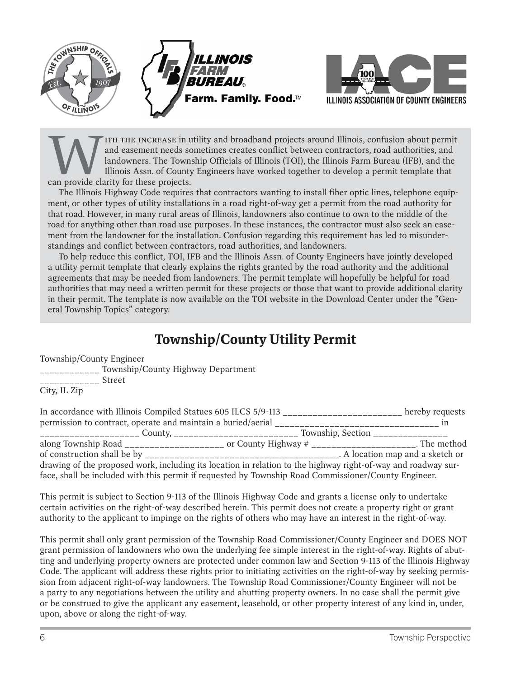



ITH THE INCREASE in utility and broadband projects around Illinois, confusion about permit and easement needs sometimes creates conflict between contractors, road authorities, and landowners. The Township Officials of Illi and easement needs sometimes creates conflict between contractors, road authorities, and landowners. The Township Officials of Illinois (TOI), the Illinois Farm Bureau (IFB), and the Illinois Assn. of County Engineers have worked together to develop a permit template that can provide clarity for these projects.

The Illinois Highway Code requires that contractors wanting to install fiber optic lines, telephone equipment, or other types of utility installations in a road right-of-way get a permit from the road authority for that road. However, in many rural areas of Illinois, landowners also continue to own to the middle of the road for anything other than road use purposes. In these instances, the contractor must also seek an easement from the landowner for the installation. Confusion regarding this requirement has led to misunderstandings and conflict between contractors, road authorities, and landowners.

To help reduce this conflict, TOI, IFB and the Illinois Assn. of County Engineers have jointly developed a utility permit template that clearly explains the rights granted by the road authority and the additional agreements that may be needed from landowners. The permit template will hopefully be helpful for road authorities that may need a written permit for these projects or those that want to provide additional clarity in their permit. The template is now available on the TOI website in the Download Center under the "General Township Topics" category.

## **Township/County Utility Permit**

Township/County Engineer

\_\_\_\_\_\_\_\_\_\_\_\_ Township/County Highway Department

\_\_\_\_\_\_\_\_\_\_\_\_ Street

City, IL Zip

| In accordance with Illinois Compiled Statues 605 ILCS 5/9-113                                                 | hereby requests |                                                          |  |  |  |
|---------------------------------------------------------------------------------------------------------------|-----------------|----------------------------------------------------------|--|--|--|
| permission to contract, operate and maintain a buried/aerial __                                               |                 |                                                          |  |  |  |
| _________________________ County, __________________________________ Township, Section ___                    |                 |                                                          |  |  |  |
| along Township Road ______________________                                                                    |                 | or County Highway $#$ ______________________. The method |  |  |  |
|                                                                                                               |                 | . A location map and a sketch or                         |  |  |  |
| drawing of the proposed work, including its location in relation to the highway right-of-way and roadway sur- |                 |                                                          |  |  |  |
| face, shall be included with this permit if requested by Township Road Commissioner/County Engineer.          |                 |                                                          |  |  |  |

This permit is subject to Section 9-113 of the Illinois Highway Code and grants a license only to undertake certain activities on the right-of-way described herein. This permit does not create a property right or grant authority to the applicant to impinge on the rights of others who may have an interest in the right-of-way.

This permit shall only grant permission of the Township Road Commissioner/County Engineer and DOES NOT grant permission of landowners who own the underlying fee simple interest in the right-of-way. Rights of abutting and underlying property owners are protected under common law and Section 9-113 of the Illinois Highway Code. The applicant will address these rights prior to initiating activities on the right-of-way by seeking permission from adjacent right-of-way landowners. The Township Road Commissioner/County Engineer will not be a party to any negotiations between the utility and abutting property owners. In no case shall the permit give or be construed to give the applicant any easement, leasehold, or other property interest of any kind in, under, upon, above or along the right-of-way.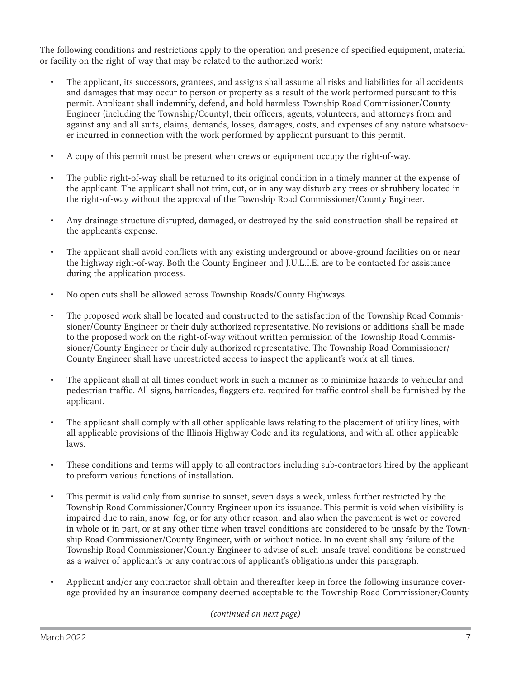The following conditions and restrictions apply to the operation and presence of specified equipment, material or facility on the right-of-way that may be related to the authorized work:

- The applicant, its successors, grantees, and assigns shall assume all risks and liabilities for all accidents and damages that may occur to person or property as a result of the work performed pursuant to this permit. Applicant shall indemnify, defend, and hold harmless Township Road Commissioner/County Engineer (including the Township/County), their officers, agents, volunteers, and attorneys from and against any and all suits, claims, demands, losses, damages, costs, and expenses of any nature whatsoever incurred in connection with the work performed by applicant pursuant to this permit.
- A copy of this permit must be present when crews or equipment occupy the right-of-way.
- The public right-of-way shall be returned to its original condition in a timely manner at the expense of the applicant. The applicant shall not trim, cut, or in any way disturb any trees or shrubbery located in the right-of-way without the approval of the Township Road Commissioner/County Engineer.
- Any drainage structure disrupted, damaged, or destroyed by the said construction shall be repaired at the applicant's expense.
- The applicant shall avoid conflicts with any existing underground or above-ground facilities on or near the highway right-of-way. Both the County Engineer and J.U.L.I.E. are to be contacted for assistance during the application process.
- No open cuts shall be allowed across Township Roads/County Highways.
- The proposed work shall be located and constructed to the satisfaction of the Township Road Commissioner/County Engineer or their duly authorized representative. No revisions or additions shall be made to the proposed work on the right-of-way without written permission of the Township Road Commissioner/County Engineer or their duly authorized representative. The Township Road Commissioner/ County Engineer shall have unrestricted access to inspect the applicant's work at all times.
- The applicant shall at all times conduct work in such a manner as to minimize hazards to vehicular and pedestrian traffic. All signs, barricades, flaggers etc. required for traffic control shall be furnished by the applicant.
- The applicant shall comply with all other applicable laws relating to the placement of utility lines, with all applicable provisions of the Illinois Highway Code and its regulations, and with all other applicable laws.
- These conditions and terms will apply to all contractors including sub-contractors hired by the applicant to preform various functions of installation.
- This permit is valid only from sunrise to sunset, seven days a week, unless further restricted by the Township Road Commissioner/County Engineer upon its issuance. This permit is void when visibility is impaired due to rain, snow, fog, or for any other reason, and also when the pavement is wet or covered in whole or in part, or at any other time when travel conditions are considered to be unsafe by the Township Road Commissioner/County Engineer, with or without notice. In no event shall any failure of the Township Road Commissioner/County Engineer to advise of such unsafe travel conditions be construed as a waiver of applicant's or any contractors of applicant's obligations under this paragraph.
- Applicant and/or any contractor shall obtain and thereafter keep in force the following insurance coverage provided by an insurance company deemed acceptable to the Township Road Commissioner/County